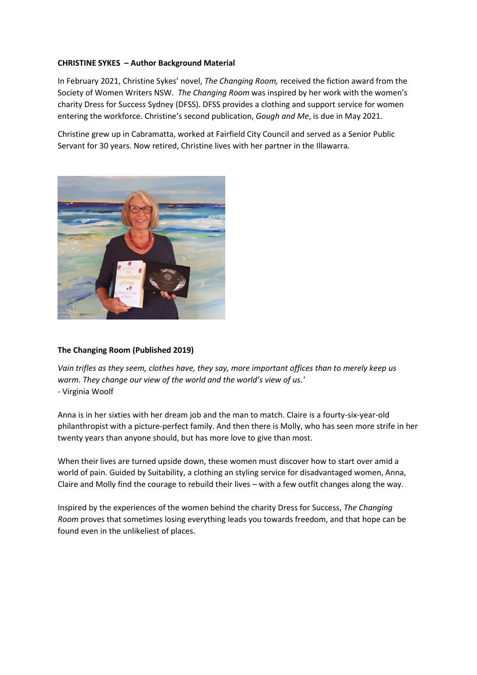## **CHRISTINE SYKES – Author Background Material**

In February 2021, Christine Sykes' novel, *The Changing Room,* received the fiction award from the Society of Women Writers NSW. *The Changing Room* was inspired by her work with the women's charity Dress for Success Sydney (DFSS). DFSS provides a clothing and support service for women entering the workforce. Christine's second publication, *Gough and Me*, is due in May 2021.

Christine grew up in Cabramatta, worked at Fairfield City Council and served as a Senior Public Servant for 30 years. Now retired, Christine lives with her partner in the Illawarra.



## **The Changing Room (Published 2019)**

*Vain trifles as they seem, clothes have, they say, more important offices than to merely keep us warm. They change our view of the world and the world's view of us.'* - Virginia Woolf

Anna is in her sixties with her dream job and the man to match. Claire is a fourty-six-year-old philanthropist with a picture-perfect family. And then there is Molly, who has seen more strife in her twenty years than anyone should, but has more love to give than most.

When their lives are turned upside down, these women must discover how to start over amid a world of pain. Guided by Suitability, a clothing an styling service for disadvantaged women, Anna, Claire and Molly find the courage to rebuild their lives – with a few outfit changes along the way.

Inspired by the experiences of the women behind the charity Dress for Success, *The Changing Room* proves that sometimes losing everything leads you towards freedom, and that hope can be found even in the unlikeliest of places.